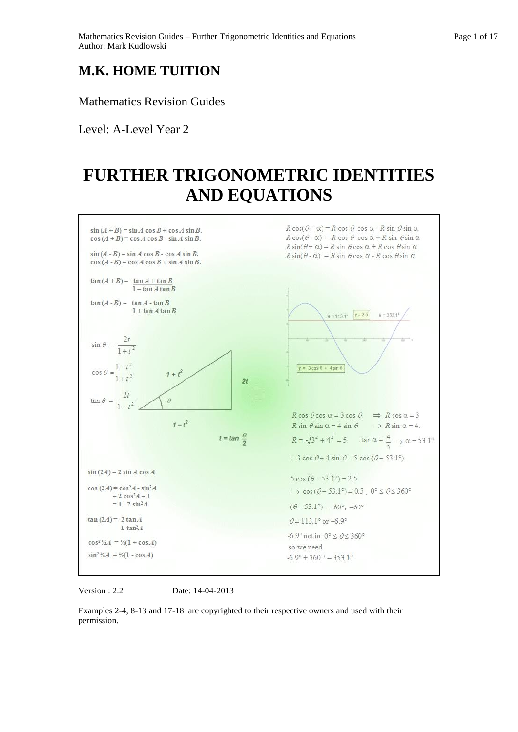## **M.K. HOME TUITION**

Mathematics Revision Guides

Level: A-Level Year 2

# **FURTHER TRIGONOMETRIC IDENTITIES AND EQUATIONS**



Version : 2.2 Date: 14-04-2013

Examples 2-4, 8-13 and 17-18 are copyrighted to their respective owners and used with their permission.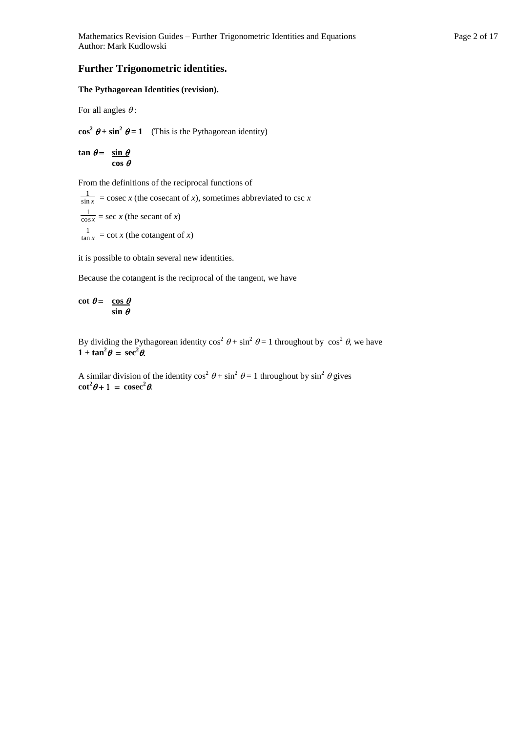### **Further Trigonometric identities.**

#### **The Pythagorean Identities (revision).**

For all angles  $\theta$ :

 $\cos^2 \theta + \sin^2 \theta = 1$  (This is the Pythagorean identity)

 $\tan \theta = \sin \theta$  $\cos \theta$ 

From the definitions of the reciprocal functions of

sin *x*  $\frac{1}{\ln x}$  = cosec *x* (the cosecant of *x*), sometimes abbreviated to csc *x* cos *x*  $\frac{1}{\log x}$  = sec *x* (the secant of *x*) tan *x*  $\frac{1}{\ln x}$  = cot *x* (the cotangent of *x*)

it is possible to obtain several new identities.

Because the cotangent is the reciprocal of the tangent, we have

 $\cot \theta = \cos \theta$  $\overline{\sin \theta}$ 

By dividing the Pythagorean identity  $\cos^2 \theta + \sin^2 \theta = 1$  throughout by  $\cos^2 \theta$ , we have  $1 + \tan^2 \theta = \sec^2 \theta$ .

A similar division of the identity  $\cos^2 \theta + \sin^2 \theta = 1$  throughout by  $\sin^2 \theta$  gives  $\cot^2 \theta + 1 = \csc^2 \theta$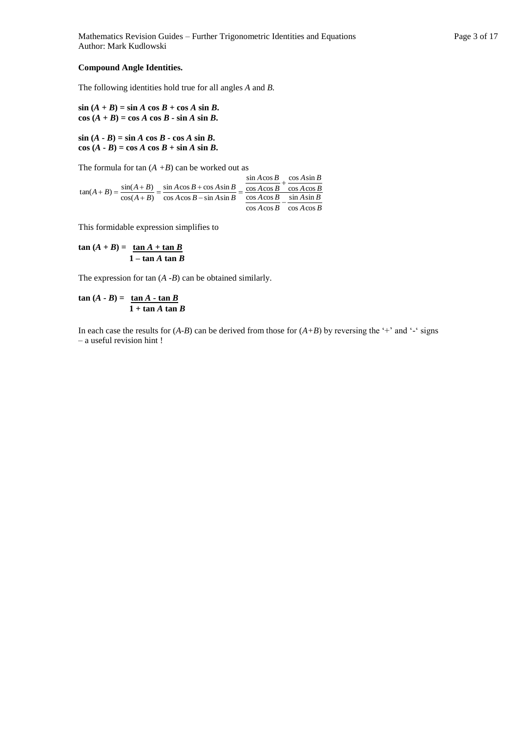Mathematics Revision Guides – Further Trigonometric Identities and Equations Page 3 of 17 Author: Mark Kudlowski

#### **Compound Angle Identities.**

The following identities hold true for all angles *A* and *B.*

 $\sin (A + B) = \sin A \cos B + \cos A \sin B$ .  $\cos(A + B) = \cos A \cos B - \sin A \sin B$ .

 $\sin (A - B) = \sin A \cos B - \cos A \sin B$ .  $\cos (A \cdot B) = \cos A \cos B + \sin A \sin B$ .

The formula for  $tan(A + B)$  can be worked out as

 $\cos A \cos B$   $\cos A \cos B$  $A \cos B$   $\sin A \sin B$  $A \cos B$  $A \sin B$  $A \cos B$ *A B*  $A \cos B - \sin A \sin B$  $A \cos B + \cos A \sin B$  $A + B$  $(A + B) = \frac{\sin(A + B)}{\cos(A + B)} = \frac{\sin A \cos B + \cos A \sin B}{\cos A \cos B - \sin A \sin B} = \frac{\cos A \cos B}{\cos A \cos B} + \frac{\cos A \cos B}{\sin A \sin B}$ cos Acos  $\cos A \sin$ cos Acos sin Acos  $\cos A \cos B - \sin A \sin A$  $\sin A \cos B + \cos A \sin$  $cos(A+B)$  $\tan(A+B) = \frac{\sin(A+B)}{\sin(A+B)}$  $\overline{\phantom{0}}$  $^{+}$  $\frac{\cos 24 \sin B}{-\sin A \sin B} =$  $\frac{+B)}{+B} = \frac{\sin A \cos B +}{\cos A \cos B -}$  $(B) = \frac{\sin(A + B)}{A}$ 

This formidable expression simplifies to

 $\tan (A + B) = \tan A + \tan B$ **1 – tan** *A* **tan** *B*

The expression for tan (*A -B*) can be obtained similarly.

$$
\tan (A - B) = \frac{\tan A - \tan B}{1 + \tan A \tan B}
$$

In each case the results for  $(A-B)$  can be derived from those for  $(A+B)$  by reversing the '+' and '-' signs – a useful revision hint !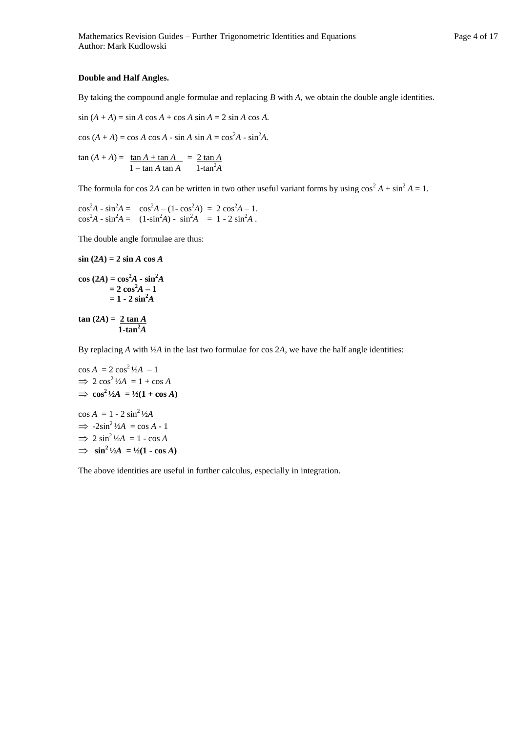#### **Double and Half Angles.**

By taking the compound angle formulae and replacing *B* with *A*, we obtain the double angle identities.

$$
\sin (A + A) = \sin A \cos A + \cos A \sin A = 2 \sin A \cos A.
$$

 $\cos (A + A) = \cos A \cos A - \sin A \sin A = \cos^2 A - \sin^2 A$ .

$$
\tan (A + A) = \frac{\tan A + \tan A}{1 - \tan A \tan A} = \frac{2 \tan A}{1 - \tan^2 A}
$$

The formula for cos 2*A* can be written in two other useful variant forms by using  $\cos^2 A + \sin^2 A = 1$ .

$$
\cos^2 A - \sin^2 A = \cos^2 A - (1 - \cos^2 A) = 2 \cos^2 A - 1.
$$
  

$$
\cos^2 A - \sin^2 A = (1 - \sin^2 A) - \sin^2 A = 1 - 2 \sin^2 A.
$$

The double angle formulae are thus:

sin (2A) = 2 sin A cos A  
\ncos (2A) = cos<sup>2</sup>A - sin<sup>2</sup>A  
\n= 2 cos<sup>2</sup>A - 1  
\n= 1 - 2 sin<sup>2</sup>A  
\ntan (2A) = 
$$
\frac{2 \tan A}{1-\tan^2 A}
$$

By replacing *A* with ½*A* in the last two formulae for cos 2*A*, we have the half angle identities:

$$
\cos A = 2 \cos^2 \frac{1}{2}A - 1
$$
  
\n
$$
\Rightarrow 2 \cos^2 \frac{1}{2}A = 1 + \cos A
$$
  
\n
$$
\Rightarrow \cos^2 \frac{1}{2}A = \frac{1}{2}(1 + \cos A)
$$
  
\n
$$
\cos A = 1 - 2 \sin^2 \frac{1}{2}A
$$
  
\n
$$
\Rightarrow -2 \sin^2 \frac{1}{2}A = \cos A - 1
$$
  
\n
$$
\Rightarrow 2 \sin^2 \frac{1}{2}A = 1 - \cos A
$$
  
\n
$$
\Rightarrow \sin^2 \frac{1}{2}A = \frac{1}{2}(1 - \cos A)
$$

The above identities are useful in further calculus, especially in integration.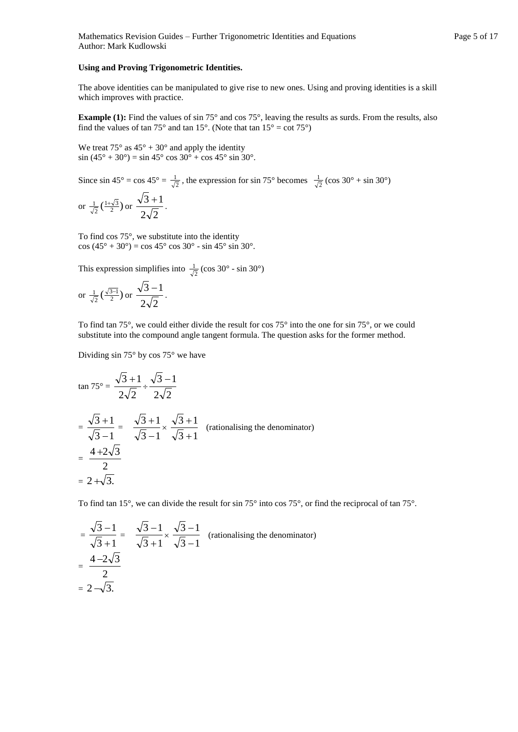#### **Using and Proving Trigonometric Identities.**

The above identities can be manipulated to give rise to new ones. Using and proving identities is a skill which improves with practice.

**Example (1):** Find the values of sin 75° and cos 75°, leaving the results as surds. From the results, also find the values of tan 75° and tan 15°. (Note that tan  $15^\circ = \cot 75^\circ$ )

We treat  $75^{\circ}$  as  $45^{\circ} + 30^{\circ}$  and apply the identity  $\sin (45^\circ + 30^\circ) = \sin 45^\circ \cos 30^\circ + \cos 45^\circ \sin 30^\circ$ .

Since  $\sin 45^\circ = \cos 45^\circ = \frac{1}{\sqrt{2}}$  $\frac{1}{\sqrt{2}}$ , the expression for sin 75° becomes  $\frac{1}{\sqrt{2}}$  $\frac{1}{\sqrt{2}}$  (cos 30° + sin 30°)

or 
$$
\frac{1}{\sqrt{2}} \left( \frac{1+\sqrt{3}}{2} \right)
$$
 or  $\frac{\sqrt{3}+1}{2\sqrt{2}}$ .

To find cos 75°, we substitute into the identity cos (45° + 30°) = cos 45° cos 30° - sin 45° sin 30°.

This expression simplifies into  $\frac{1}{\sqrt{2}}$  $\frac{1}{\sqrt{2}}$  (cos 30° - sin 30°)

or 
$$
\frac{1}{\sqrt{2}} \left( \frac{\sqrt{3}-1}{2} \right)
$$
 or  $\frac{\sqrt{3}-1}{2\sqrt{2}}$ .

To find tan 75°, we could either divide the result for cos 75° into the one for sin 75°, or we could substitute into the compound angle tangent formula. The question asks for the former method.

Dividing sin 75° by cos 75° we have

$$
\tan 75^\circ = \frac{\sqrt{3} + 1}{2\sqrt{2}} \div \frac{\sqrt{3} - 1}{2\sqrt{2}}
$$
  
=  $\frac{\sqrt{3} + 1}{\sqrt{3} - 1} = \frac{\sqrt{3} + 1}{\sqrt{3} - 1} \times \frac{\sqrt{3} + 1}{\sqrt{3} + 1}$  (rationalising the denominator)  
=  $\frac{4 + 2\sqrt{3}}{2}$   
=  $2 + \sqrt{3}$ .

To find tan 15°, we can divide the result for sin 75° into cos 75°, or find the reciprocal of tan 75°.

$$
= \frac{\sqrt{3}-1}{\sqrt{3}+1} = \frac{\sqrt{3}-1}{\sqrt{3}+1} \times \frac{\sqrt{3}-1}{\sqrt{3}-1}
$$
 (rationalising the denominator)  
= 
$$
\frac{4-2\sqrt{3}}{2}
$$
  
= 
$$
2-\sqrt{3}.
$$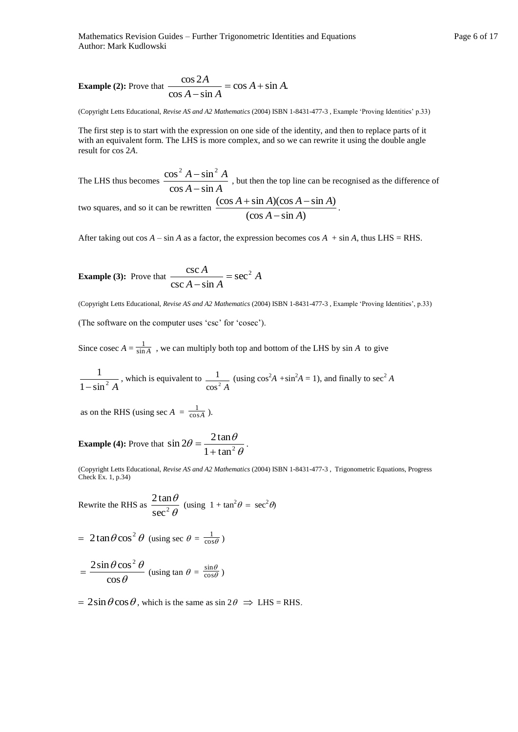Mathematics Revision Guides – Further Trigonometric Identities and Equations Page 6 of 17 Author: Mark Kudlowski

**Example (2):** Prove that 
$$
\frac{\cos 2A}{\cos A - \sin A} = \cos A + \sin A.
$$

(Copyright Letts Educational, *Revise AS and A2 Mathematics* (2004) ISBN 1-8431-477-3 , Example 'Proving Identities' p.33)

The first step is to start with the expression on one side of the identity, and then to replace parts of it with an equivalent form. The LHS is more complex, and so we can rewrite it using the double angle result for cos 2*A*.

The LHS thus becomes  $\frac{368 \text{ A} + 5 \text{ m}}{\text{cos A} - \text{sin A}}$  $A - \sin^2 A$  $\cos A - \sin A$  $\cos^2 A - \sin^2 A$  $\overline{a}$  $-\sin^2 A$ , but then the top line can be recognised as the difference of two squares, and so it can be rewritten  $\frac{\cos 2\pi i \sin 2\pi \cos 2\pi}{\cos A - \sin A}$  $(\cos A + \sin A)(\cos A - \sin A)$  $A - \sin A$  $A + \sin A)(\cos A - \sin A)$  $\overline{a}$  $+\sin A)(\cos A - \sin A)$ 

After taking out  $\cos A - \sin A$  as a factor, the expression becomes  $\cos A + \sin A$ , thus LHS = RHS.

**Example (3):** Prove that 
$$
\frac{\csc A}{\csc A - \sin A} = \sec^2 A
$$

(Copyright Letts Educational, *Revise AS and A2 Mathematics* (2004) ISBN 1-8431-477-3 , Example 'Proving Identities', p.33)

(The software on the computer uses 'csc' for 'cosec').

Since cosec  $A = \frac{1}{\sin A}$ , we can multiply both top and bottom of the LHS by sin *A* to give

$$
\frac{1}{1-\sin^2 A}
$$
, which is equivalent to  $\frac{1}{\cos^2 A}$  (using  $\cos^2 A + \sin^2 A = 1$ ), and finally to  $\sec^2 A$ 

as on the RHS (using sec  $A = \frac{1}{\cos A}$  $\frac{1}{\sqrt{2}}$ ).

**Example (4):** Prove that  $\sin 2\theta = \frac{\sec 2\theta}{1 + \tan^2 \theta}$  $\theta = \frac{2\tan\theta}{1+\tan^2\theta}$  $\sin 2\theta = \frac{2 \tan \theta}{2}$  $^{+}$  $=\frac{2\tan\theta}{\theta}$ .

(Copyright Letts Educational, *Revise AS and A2 Mathematics* (2004) ISBN 1-8431-477-3 , Trigonometric Equations, Progress Check Ex. 1, p.34)

Rewrite the RHS as  $\frac{2 \tan \theta}{\sec^2 \theta}$  $\theta$  $\sec^2$  $\frac{2\tan\theta}{\lambda}$  (using  $1 + \tan^2\theta = \sec^2\theta$ )

=  $2\tan\theta\cos^2\theta$  (using sec  $\theta = \frac{1}{\cos\theta}$  $\frac{1}{\sqrt{2}}$ 

$$
= \frac{2\sin\theta\cos^2\theta}{\cos\theta}
$$
 (using tan  $\theta = \frac{\sin\theta}{\cos\theta}$ )

 $= 2\sin\theta\cos\theta$ , which is the same as  $\sin 2\theta \Rightarrow$  LHS = RHS.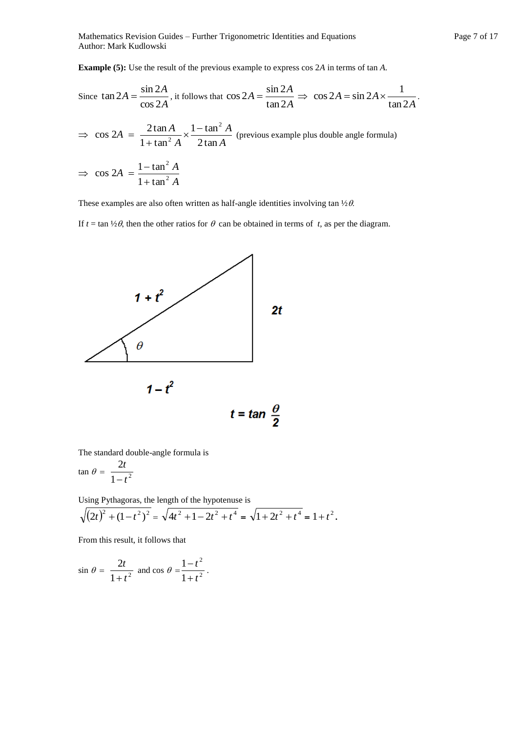Mathematics Revision Guides – Further Trigonometric Identities and Equations Page 7 of 17 Author: Mark Kudlowski

**Example (5):** Use the result of the previous example to express cos 2*A* in terms of tan *A.*

Since 
$$
\tan 2A = \frac{\sin 2A}{\cos 2A}
$$
, it follows that  $\cos 2A = \frac{\sin 2A}{\tan 2A} \Rightarrow \cos 2A = \sin 2A \times \frac{1}{\tan 2A}$ .

 $\Rightarrow$  cos 2*A* = *A A A A* 2 tan  $1 - tan$  $1 + \tan$  $2 \tan A$  1 -  $\tan^2$ 2  $\times \frac{1-}{2}$  $\frac{2 \tan 2x}{1 + \tan^2 A} \times \frac{2 \tan 2x}{2 \tan A}$  (previous example plus double angle formula)

$$
\Rightarrow \cos 2A = \frac{1 - \tan^2 A}{1 + \tan^2 A}
$$

These examples are also often written as half-angle identities involving tan  $\frac{1}{2}\theta$ .

If  $t = \tan \frac{1}{2}\theta$ , then the other ratios for  $\theta$  can be obtained in terms of *t*, as per the diagram.



The standard double-angle formula is

$$
\tan \theta = \frac{2t}{1-t^2}
$$

Using Pythagoras, the length of the hypotenuse is

$$
\sqrt{\left(2t\right)^{2} + \left(1 - t^{2}\right)^{2}} = \sqrt{4t^{2} + 1 - 2t^{2} + t^{4}} = \sqrt{1 + 2t^{2} + t^{4}} = 1 + t^{2}.
$$

From this result, it follows that

$$
\sin \theta = \frac{2t}{1+t^2} \text{ and } \cos \theta = \frac{1-t^2}{1+t^2}.
$$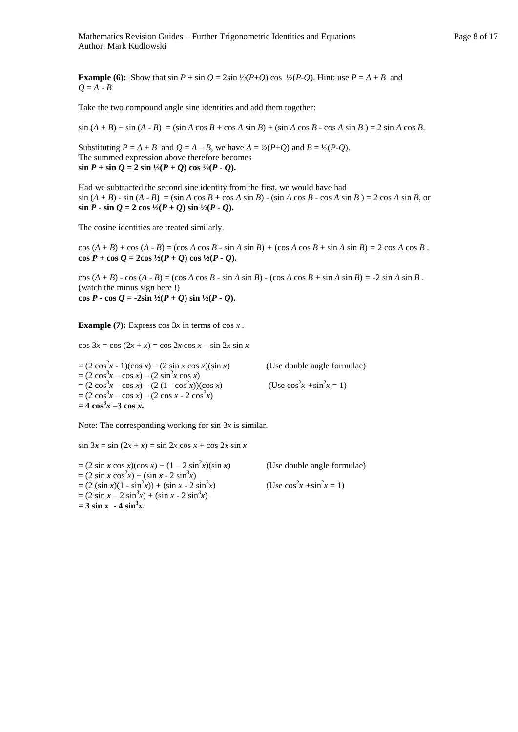**Example (6):** Show that  $\sin P + \sin Q = 2\sin \frac{1}{2}(P+Q) \cos \frac{1}{2}(P-Q)$ . Hint: use  $P = A + B$  and  $Q = A - B$ 

Take the two compound angle sine identities and add them together:

 $\sin (A + B) + \sin (A - B) = (\sin A \cos B + \cos A \sin B) + (\sin A \cos B - \cos A \sin B) = 2 \sin A \cos B$ .

Substituting  $P = A + B$  and  $Q = A - B$ , we have  $A = \frac{1}{2}(P+Q)$  and  $B = \frac{1}{2}(P-Q)$ . The summed expression above therefore becomes  $\sin P + \sin Q = 2 \sin \frac{1}{2}(P + Q) \cos \frac{1}{2}(P - Q)$ .

Had we subtracted the second sine identity from the first, we would have had  $\sin (A + B) - \sin (A - B) = (\sin A \cos B + \cos A \sin B) - (\sin A \cos B - \cos A \sin B) = 2 \cos A \sin B$ , or  $\sin P \cdot \sin Q = 2 \cos \frac{1}{2}(P+Q) \sin \frac{1}{2}(P-Q)$ .

The cosine identities are treated similarly.

 $\cos (A + B) + \cos (A - B) = (\cos A \cos B - \sin A \sin B) + (\cos A \cos B + \sin A \sin B) = 2 \cos A \cos B$ .  $\cos P + \cos Q = 2\cos \frac{1}{2}(P+Q)\cos \frac{1}{2}(P-Q).$ 

cos  $(A + B)$  - cos  $(A - B) = (\cos A \cos B - \sin A \sin B)$  -  $(\cos A \cos B + \sin A \sin B) = -2 \sin A \sin B$ . (watch the minus sign here !) **cos** *P* **- <b>cos**  $Q = -2\sin \frac{1}{2}(P + Q) \sin \frac{1}{2}(P - Q)$ .

**Example (7):** Express cos  $3x$  in terms of cos  $x$ .

 $\cos 3x = \cos (2x + x) = \cos 2x \cos x - \sin 2x \sin x$ 

 $=(2 \cos^2 x - 1)(\cos x) - (2 \sin x \cos x)(\sin x)$  (Use double angle formulae)  $= (2 \cos^3 x - \cos x) - (2 \sin^2 x \cos x)$  $= (2 \cos^3 x - \cos x) - (2 (1 - \cos^2 x))(\cos x)$  (Use  $\cos^2 x$  $x + sin^2 x = 1$  $= (2 \cos^3 x - \cos x) - (2 \cos x - 2 \cos^3 x)$  $= 4 \cos^3 x - 3 \cos x.$ 

Note: The corresponding working for sin 3*x* is similar.

 $\sin 3x = \sin (2x + x) = \sin 2x \cos x + \cos 2x \sin x$ 

 $= (2 \sin x \cos x)(\cos x) + (1 - 2 \sin^2 x)(\sin x)$ (Use double angle formulae)  $= (2 \sin x \cos^2 x) + (\sin x - 2 \sin^3 x)$  $= (2 \sin x)(1 - \sin^2 x) + (\sin x - 2 \sin^3 x)$ *x*)  $(Use cos<sup>2</sup> x + sin<sup>2</sup> x = 1)$  $= (2 \sin x - 2 \sin^3 x) + (\sin x - 2 \sin^3 x)$  $= 3 \sin x - 4 \sin^3 x.$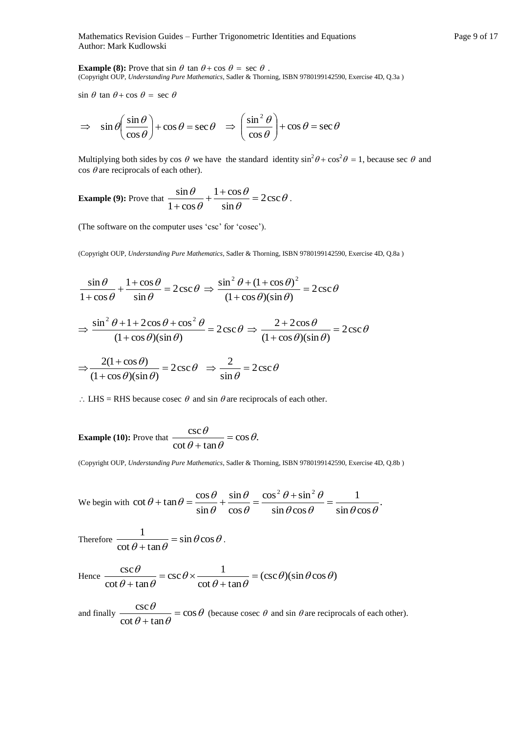Mathematics Revision Guides – Further Trigonometric Identities and Equations Page 9 of 17 Author: Mark Kudlowski

**Example (8):** Prove that  $\sin \theta$  tan  $\theta$  + cos  $\theta$  = sec  $\theta$ . (Copyright OUP, *Understanding Pure Mathematics*, Sadler & Thorning, ISBN 9780199142590, Exercise 4D, Q.3a )

 $\sin \theta$  tan  $\theta$  + cos  $\theta$  = sec  $\theta$ 

$$
\Rightarrow \sin \theta \left( \frac{\sin \theta}{\cos \theta} \right) + \cos \theta = \sec \theta \Rightarrow \left( \frac{\sin^2 \theta}{\cos \theta} \right) + \cos \theta = \sec \theta
$$

Multiplying both sides by cos  $\theta$  we have the standard identity  $\sin^2 \theta + \cos^2 \theta = 1$ , because sec  $\theta$  and  $\cos \theta$  are reciprocals of each other).

**Example (9):** Prove that  $\frac{3444}{12} + \frac{14444}{12} = 2 \csc \theta$  $\theta$  $\theta$  $\theta$  $\frac{\theta}{c} + \frac{1+\cos\theta}{\cos\theta} = 2\csc\theta$ sin  $1 + \cos$  $1 + \cos$  $\frac{\sin \theta}{\theta} + \frac{1 + \cos \theta}{\theta} =$  $\frac{\sin \theta}{\cos \theta} + \frac{1 \cos \theta}{\sin \theta} = 2 \csc \theta$ .

(The software on the computer uses 'csc' for 'cosec').

(Copyright OUP, *Understanding Pure Mathematics*, Sadler & Thorning, ISBN 9780199142590, Exercise 4D, Q.8a )

$$
\frac{\sin \theta}{1 + \cos \theta} + \frac{1 + \cos \theta}{\sin \theta} = 2 \csc \theta \implies \frac{\sin^2 \theta + (1 + \cos \theta)^2}{(1 + \cos \theta)(\sin \theta)} = 2 \csc \theta
$$

$$
\Rightarrow \frac{\sin^2 \theta + 1 + 2\cos \theta + \cos^2 \theta}{(1 + \cos \theta)(\sin \theta)} = 2\csc \theta \Rightarrow \frac{2 + 2\cos \theta}{(1 + \cos \theta)(\sin \theta)} = 2\csc \theta
$$

$$
\Rightarrow \frac{2(1 + \cos \theta)}{(1 + \cos \theta)(\sin \theta)} = 2\csc \theta \Rightarrow \frac{2}{\sin \theta} = 2\csc \theta
$$

 $\therefore$  LHS = RHS because cosec  $\theta$  and sin  $\theta$  are reciprocals of each other.

**Example (10):** Prove that 
$$
\frac{\csc \theta}{\cot \theta + \tan \theta} = \cos \theta.
$$

(Copyright OUP, *Understanding Pure Mathematics*, Sadler & Thorning, ISBN 9780199142590, Exercise 4D, Q.8b )

We begin with  $\cot \theta + \tan \theta = \frac{\cos \theta}{\cos \theta} + \frac{\sin \theta}{\cos \theta} = \frac{\cos^2 \theta + \sin^2 \theta}{\cos^2 \theta} = \frac{1}{\cos^2 \theta}$ .  $\sin \theta \cos$ 1  $\sin \theta \cos$  $\cos^2\theta + \sin$ cos sin sin  $\cot \theta + \tan \theta = \frac{\cos \theta}{\cos \theta}$  $2n + \sin^2$  $\theta \cos \theta$   $\sin \theta \cos \theta$  $\theta$  + sin<sup>2</sup>  $\theta$  $\theta$  $\theta$  $\theta$  $\theta$  + tan  $\theta$  =  $\frac{\cos \theta}{\sin \theta}$  +  $\frac{\sin \theta}{\sin \theta}$  =  $\frac{\cos^2 \theta + \sin^2 \theta}{\sin \theta}$  =

Therefore  $\frac{\ }{}=\sin\theta\cos\theta$  $\frac{1}{\theta + \tan \theta} = \sin \theta \cos \theta$  $\cot \theta + \tan \theta$  $\frac{1}{\sqrt{1-\frac{1}{2}}}$  $\frac{1}{\theta} = \sin \theta \cos \theta$ .

Hence 
$$
\frac{\csc \theta}{\cot \theta + \tan \theta} = \csc \theta \times \frac{1}{\cot \theta + \tan \theta} = (\csc \theta)(\sin \theta \cos \theta)
$$

and finally  $\frac{\cosh 2\theta}{\cosh 2\theta} = \cos \theta$  $\theta$  + tan  $\theta$  $\frac{\theta}{\cos \theta} = \cos \theta$  $\cot \theta + \tan \theta$  $\frac{\csc \theta}{\cos \theta} =$  $\frac{\partial^2 u}{\partial t^2} = \cos \theta$  (because cosec  $\theta$  and sin  $\theta$  are reciprocals of each other).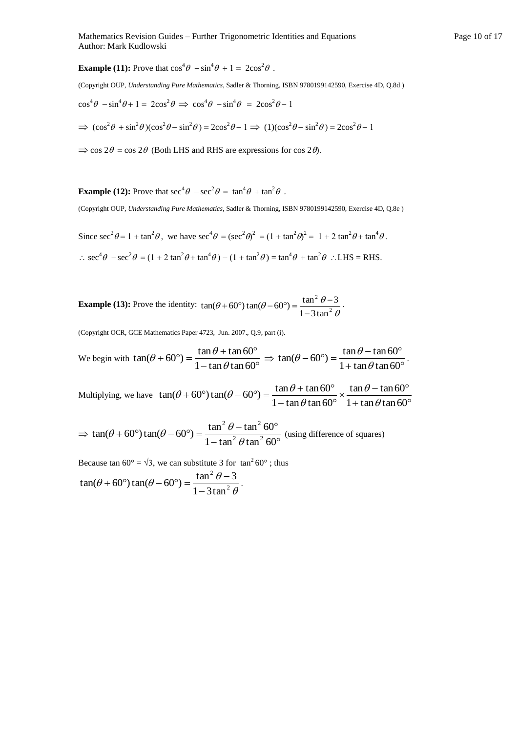**Example (11):** Prove that  $\cos^4 \theta - \sin^4 \theta + 1 = 2\cos^2 \theta$ .

(Copyright OUP, *Understanding Pure Mathematics*, Sadler & Thorning, ISBN 9780199142590, Exercise 4D, Q.8d )

$$
\cos^4 \theta - \sin^4 \theta + 1 = 2\cos^2 \theta \implies \cos^4 \theta - \sin^4 \theta = 2\cos^2 \theta - 1
$$

 $\Rightarrow$   $(\cos^2 \theta + \sin^2 \theta)(\cos^2 \theta - \sin^2 \theta) = 2\cos^2 \theta - 1 \Rightarrow (1)(\cos^2 \theta - \sin^2 \theta) = 2\cos^2 \theta - 1$ 

 $\Rightarrow$  cos 2 $\theta$  = cos 2 $\theta$  (Both LHS and RHS are expressions for cos 2 $\theta$ ).

**Example (12):** Prove that  $\sec^4 \theta - \sec^2 \theta = \tan^4 \theta + \tan^2 \theta$ .

(Copyright OUP, *Understanding Pure Mathematics*, Sadler & Thorning, ISBN 9780199142590, Exercise 4D, Q.8e )

Since  $\sec^2 \theta = 1 + \tan^2 \theta$ , we have  $\sec^4 \theta = (\sec^2 \theta)^2 = (1 + \tan^2 \theta)^2 = 1 + 2 \tan^2 \theta + \tan^4 \theta$ .

 $\therefore \sec^4 \theta - \sec^2 \theta = (1 + 2 \tan^2 \theta + \tan^4 \theta) - (1 + \tan^2 \theta) = \tan^4 \theta + \tan^2 \theta$   $\therefore$  LHS = RHS.

**Example (13):** Prove the identity:  $\theta$  $(\theta + 60^{\circ})\tan(\theta - 60^{\circ}) = \frac{\tan^2\theta - \tan^2\theta}{1 - 3\tan^2\theta}$ 2  $1 - 3$ tan  $\tan(\theta + 60^\circ) \tan(\theta - 60^\circ) = \frac{\tan^2 \theta - 3}{\tan^2 \theta}$  $\overline{a}$  $+60^{\circ}$ ) tan( $\theta - 60^{\circ}$ ) =  $\frac{\tan^2 \theta - 3}{2}$ .

(Copyright OCR, GCE Mathematics Paper 4723, Jun. 2007., Q.9, part (i).

We begin with  $\tan(\theta + 60^\circ) = \frac{\tan \theta + \tan \theta}{1 - \tan \theta \tan 60^\circ}$  $+60^{\circ}$ ) =  $\frac{\tan \theta + \tan 60^{\circ}}{2}$  $1 - \tan \theta \tan 60$  $\tan(\theta + 60^\circ) = \frac{\tan \theta + \tan 60^\circ}{1 - \tan \theta \tan 60^\circ}$  $(\theta + 60^{\circ}) = \frac{\tan \theta + \tan 60^{\circ}}{\cos \theta}$  $+$  tan  $\theta$  tan 60 $^{\circ}$  $-60^{\circ}$ ) =  $\frac{\tan \theta - \tan 60^{\circ}}{2}$  $1 + \tan \theta \tan 60$  $\tan(\theta - 60^{\circ}) = \frac{\tan \theta - \tan 60^{\circ}}{1 + \tan \theta \tan 60^{\circ}}$  $(\theta - 60^{\circ}) = \frac{\tan \theta - \tan 60^{\circ}}{\cos \theta}$ .

Multiplying, we have  $\tan(\theta + 60^{\circ})\tan(\theta - 60^{\circ}) = \frac{1}{1 - \tan\theta\tan 60^{\circ}} \times \frac{1}{1 + \tan\theta\tan 60^{\circ}}$  $\times \frac{\tan \theta - \tan 60^{\circ}}{\cos \theta}$  $-\tan\theta\tan 60^\circ$  $+60^{\circ}$ ) tan( $\theta - 60^{\circ}$ ) =  $\frac{\tan \theta + \tan 60^{\circ}}{\sin \theta}$  $1 + \tan \theta \tan 60$  $\tan \theta$  –  $\tan 60$  $1 - \tan \theta \tan 60$  $\tan(\theta + 60^{\circ})\tan(\theta - 60^{\circ}) = \frac{\tan\theta + \tan 60^{\circ}}{1 - \tan\theta\tan 60^{\circ}} \times \frac{\tan\theta - 1}{1 + \tan\theta}$  $\theta$  $\theta$  $(\theta + 60^{\circ}) \tan(\theta - 60^{\circ}) = \frac{\tan \theta}{\cos \theta}$ 

 $\Rightarrow$  $-\tan^2\theta\tan^2 60^\circ$  $+60^{\circ})\tan(\theta - 60^{\circ}) = \frac{\tan^2\theta - \tan^2 60^{\circ}}{2.83 \cdot 10^{\circ}}$  $1 - \tan^2 \theta \tan^2 60$  $\tan(\theta + 60^{\circ})\tan(\theta - 60^{\circ}) = \frac{\tan^2 \theta - \tan^2 60^{\circ}}{1 - \tan^2 \theta \tan^2 60^{\circ}}$  $2n \tan^2$  $\theta$  $(\theta + 60^{\circ})\tan(\theta - 60^{\circ}) = \frac{\tan^2 \theta - \tan^2 60^{\circ}}{\tan^2 \theta - \tan^2 60^{\circ}}$  (using difference of squares)

Because tan  $60^{\circ} = \sqrt{3}$ , we can substitute 3 for  $\tan^2 60^{\circ}$ ; thus  $\theta$  $(\theta + 60^{\circ})\tan(\theta - 60^{\circ}) = \frac{\tan^2\theta - \tan^2\theta}{1 - 3\tan^2\theta}$ 2  $1 - 3\tan$  $\tan(\theta + 60^\circ)\tan(\theta - 60^\circ) = \frac{\tan^2 \theta - 3}{\tan^2 \theta}$  $\overline{a}$  $+60^{\circ}$ ) tan( $\theta - 60^{\circ}$ ) =  $\frac{\tan^2 \theta - 3}{\tan^2 \theta}$ .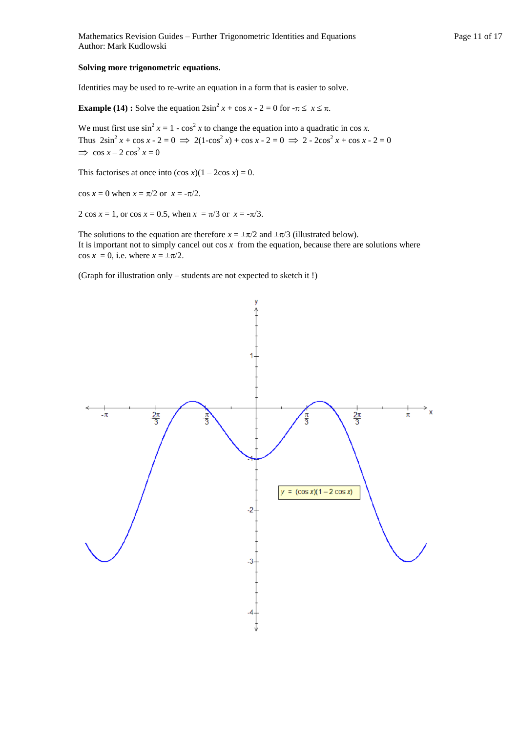Identities may be used to re-write an equation in a form that is easier to solve.

**Example (14) :** Solve the equation  $2\sin^2 x + \cos x - 2 = 0$  for  $-\pi \le x \le \pi$ .

We must first use  $\sin^2 x = 1 - \cos^2 x$  to change the equation into a quadratic in cos *x*. Thus  $2\sin^2 x + \cos x - 2 = 0 \implies 2(1-\cos^2 x) + \cos x - 2 = 0 \implies 2 - 2\cos^2 x + \cos x - 2 = 0$  $\Rightarrow$  cos  $x - 2 \cos^2 x = 0$ 

This factorises at once into  $(\cos x)(1 - 2\cos x) = 0$ .

 $\cos x = 0$  when  $x = \pi/2$  or  $x = -\pi/2$ .

2 cos  $x = 1$ , or cos  $x = 0.5$ , when  $x = \pi/3$  or  $x = -\pi/3$ .

The solutions to the equation are therefore  $x = \pm \pi/2$  and  $\pm \pi/3$  (illustrated below). It is important not to simply cancel out  $\cos x$  from the equation, because there are solutions where  $\cos x = 0$ , i.e. where  $x = \pm \pi/2$ .

(Graph for illustration only – students are not expected to sketch it !)

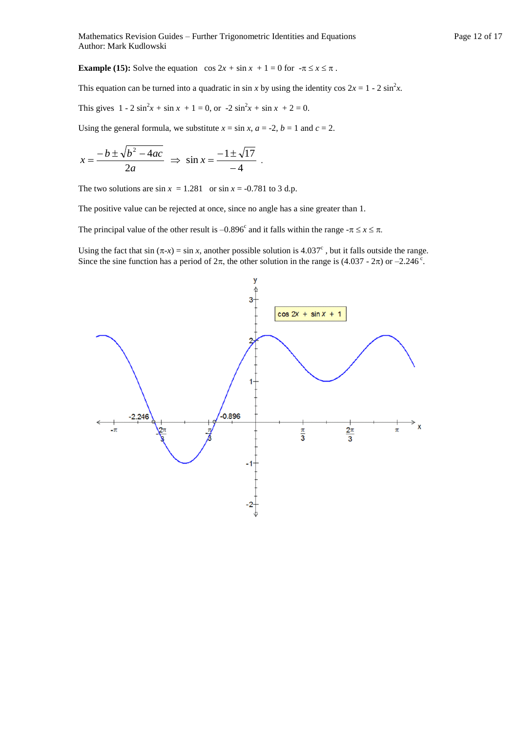**Example (15):** Solve the equation  $\cos 2x + \sin x + 1 = 0$  for  $-\pi \le x \le \pi$ .

This equation can be turned into a quadratic in  $\sin x$  by using the identity cos  $2x = 1 - 2 \sin^2 x$ .

This gives  $1 - 2 \sin^2 x + \sin x + 1 = 0$ , or  $-2 \sin^2 x + \sin x + 2 = 0$ .

Using the general formula, we substitute  $x = \sin x$ ,  $a = -2$ ,  $b = 1$  and  $c = 2$ .

$$
x = \frac{-b \pm \sqrt{b^2 - 4ac}}{2a} \Rightarrow \sin x = \frac{-1 \pm \sqrt{17}}{-4}.
$$

The two solutions are  $\sin x = 1.281$  or  $\sin x = -0.781$  to 3 d.p.

The positive value can be rejected at once, since no angle has a sine greater than 1.

The principal value of the other result is  $-0.896^{\circ}$  and it falls within the range  $-\pi \le x \le \pi$ .

Using the fact that sin  $(\pi - x) = \sin x$ , another possible solution is 4.037°, but it falls outside the range. Since the sine function has a period of  $2\pi$ , the other solution in the range is (4.037 -  $2\pi$ ) or  $-2.246^{\circ}$ .

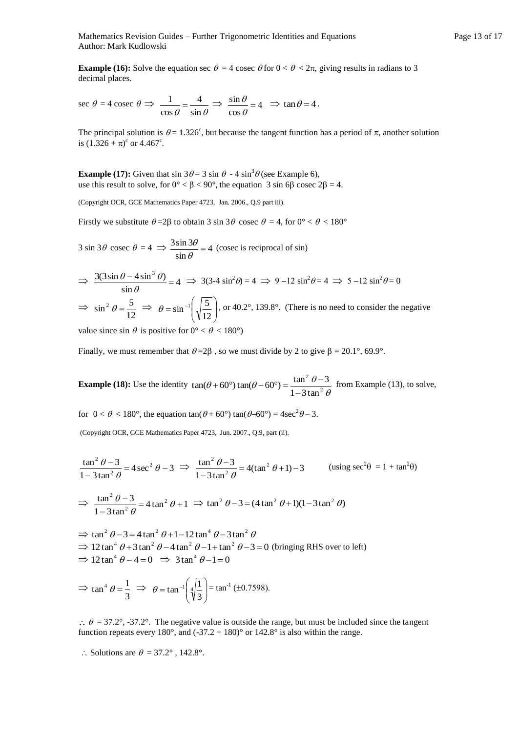Mathematics Revision Guides – Further Trigonometric Identities and Equations Page 13 of 17 Author: Mark Kudlowski

**Example (16):** Solve the equation sec  $\theta = 4$  cosec  $\theta$  for  $0 < \theta < 2\pi$ , giving results in radians to 3 decimal places.

$$
\sec \theta = 4 \csc \theta \implies \frac{1}{\cos \theta} = \frac{4}{\sin \theta} \implies \frac{\sin \theta}{\cos \theta} = 4 \implies \tan \theta = 4.
$$

The principal solution is  $\theta = 1.326^{\circ}$ , but because the tangent function has a period of  $\pi$ , another solution is  $(1.326 + \pi)^c$  or 4.467<sup>c</sup>.

**Example (17):** Given that  $\sin 3\theta = 3 \sin \theta - 4 \sin^3 \theta$  (see Example 6), use this result to solve, for  $0^{\circ} < \beta < 90^{\circ}$ , the equation 3 sin 6 $\beta$  cosec  $2\beta = 4$ .

(Copyright OCR, GCE Mathematics Paper 4723, Jan. 2006., Q.9 part iii).

Firstly we substitute  $\theta = 2\beta$  to obtain 3 sin 3 $\theta$  cosec  $\theta = 4$ , for  $0^{\circ} < \theta < 180^{\circ}$ 

 $3 \sin 3\theta \csc \theta = 4 \implies \frac{3 \sin 3\theta}{1} = 4$ sin  $\frac{3\sin 3\theta}{\sin \theta} =$  $\frac{d\theta}{dt}$  = 4 (cosec is reciprocal of sin)

$$
\Rightarrow \frac{3(3\sin\theta - 4\sin^3\theta)}{\sin\theta} = 4 \Rightarrow 3(3-4\sin^2\theta) = 4 \Rightarrow 9-12\sin^2\theta = 4 \Rightarrow 5-12\sin^2\theta = 0
$$
  

$$
\Rightarrow \sin^2\theta = \frac{5}{12} \Rightarrow \theta = \sin^{-1}\left(\sqrt{\frac{5}{12}}\right), \text{ or } 40.2^\circ, 139.8^\circ. \text{ (There is no need to consider the negative)}
$$

value since sin  $\theta$  is positive for  $0^{\circ} < \theta < 180^{\circ}$ )

Finally, we must remember that  $\theta = 2\beta$ , so we must divide by 2 to give  $\beta = 20.1^{\circ}$ , 69.9°.

**Example (18):** Use the identity  $\theta$  $(\theta + 60^{\circ})\tan(\theta - 60^{\circ}) = \frac{\tan^2\theta - \tan^2\theta}{1 - 3\tan^2\theta}$ 2  $1 - 3\tan$  $\tan(\theta + 60^\circ) \tan(\theta - 60^\circ) = \frac{\tan^2 \theta - 3}{\tan^2 \theta}$  $\overline{a}$  $f + 60^{\circ}$ ) tan( $\theta - 60^{\circ}$ ) =  $\frac{\tan^2 \theta - 3}{1}$  from Example (13), to solve,

for  $0 < \theta < 180^{\circ}$ , the equation  $\tan(\theta + 60^{\circ}) \tan(\theta - 60^{\circ}) = 4\sec^2\theta - 3$ .

(Copyright OCR, GCE Mathematics Paper 4723, Jun. 2007., Q.9, part (ii).

$$
\frac{\tan^2 \theta - 3}{1 - 3\tan^2 \theta} = 4\sec^2 \theta - 3 \implies \frac{\tan^2 \theta - 3}{1 - 3\tan^2 \theta} = 4(\tan^2 \theta + 1) - 3 \qquad \text{(using } \sec^2 \theta = 1 + \tan^2 \theta)
$$
\n
$$
\implies \frac{\tan^2 \theta - 3}{1 - 3\tan^2 \theta} = 4\tan^2 \theta + 1 \implies \tan^2 \theta - 3 = (4\tan^2 \theta + 1)(1 - 3\tan^2 \theta)
$$

 $\Rightarrow$  tan<sup>2</sup>  $\theta$  - 3 = 4 tan<sup>2</sup>  $\theta$  + 1 - 12 tan<sup>4</sup>  $\theta$  - 3 tan<sup>2</sup>  $\theta$  $\Rightarrow$  12 tan<sup>4</sup>  $\theta$  + 3 tan<sup>2</sup>  $\theta$  – 4 tan<sup>2</sup>  $\theta$  – 1 + tan<sup>2</sup>  $\theta$  – 3 = 0 (bringing RHS over to left)  $\Rightarrow$  12 tan<sup>4</sup>  $\theta - 4 = 0$   $\Rightarrow$  3 tan<sup>4</sup>  $\theta - 1 = 0$ 

$$
\Rightarrow \tan^4 \theta = \frac{1}{3} \Rightarrow \theta = \tan^{-1} \left( \sqrt[4]{\frac{1}{3}} \right) = \tan^{-1} (\pm 0.7598).
$$

 $\therefore$   $\theta = 37.2^{\circ}$ , -37.2°. The negative value is outside the range, but must be included since the tangent function repeats every 180°, and  $(-37.2 + 180)$ ° or 142.8° is also within the range.

$$
\therefore
$$
 Solutions are  $\theta = 37.2^{\circ}$ , 142.8°.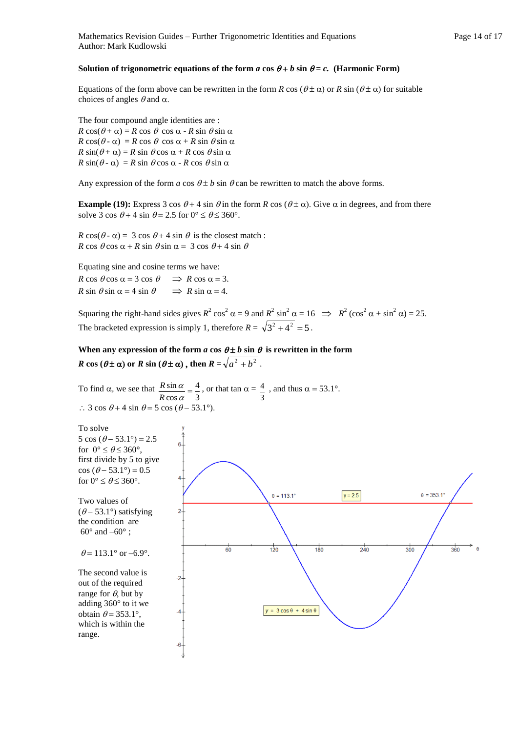#### Solution of trigonometric equations of the form *a* cos  $\theta + b$  sin  $\theta = c$ . (Harmonic Form)

Equations of the form above can be rewritten in the form *R* cos ( $\theta \pm \alpha$ ) or *R* sin ( $\theta \pm \alpha$ ) for suitable choices of angles  $\theta$  and  $\alpha$ .

The four compound angle identities are :  $R \cos(\theta + \alpha) = R \cos \theta \cos \alpha - R \sin \theta \sin \alpha$  $R \cos(\theta - \alpha) = R \cos \theta \cos \alpha + R \sin \theta \sin \alpha$  $R \sin(\theta + \alpha) = R \sin \theta \cos \alpha + R \cos \theta \sin \alpha$  $R \sin(\theta - \alpha) = R \sin \theta \cos \alpha - R \cos \theta \sin \alpha$ 

Any expression of the form *a* cos  $\theta \pm b$  sin  $\theta$  can be rewritten to match the above forms.

**Example (19):** Express 3 cos  $\theta$  + 4 sin  $\theta$  in the form *R* cos ( $\theta \pm \alpha$ ). Give  $\alpha$  in degrees, and from there solve 3 cos  $\theta$  + 4 sin  $\theta$  = 2.5 for  $0^{\circ} \le \theta \le 360^{\circ}$ .

 $R \cos(\theta - \alpha) = 3 \cos \theta + 4 \sin \theta$  is the closest match :  $R \cos \theta \cos \alpha + R \sin \theta \sin \alpha = 3 \cos \theta + 4 \sin \theta$ 

Equating sine and cosine terms we have:  $R \cos \theta \cos \alpha = 3 \cos \theta \implies R \cos \alpha = 3.$  $R \sin \theta \sin \alpha = 4 \sin \theta \implies R \sin \alpha = 4.$ 

Squaring the right-hand sides gives  $R^2 \cos^2 \alpha = 9$  and  $R^2 \sin^2 \alpha = 16 \implies R^2 (\cos^2 \alpha + \sin^2 \alpha) = 25$ . The bracketed expression is simply 1, therefore  $R = \sqrt{3^2 + 4^2} = 5$ .

When any expression of the form *a* cos  $\theta \pm b$  sin  $\theta$  is rewritten in the form *R* cos ( $\theta \pm \alpha$ ) or *R* sin ( $\theta \pm \alpha$ ), then  $R = \sqrt{a^2 + b^2}$ .

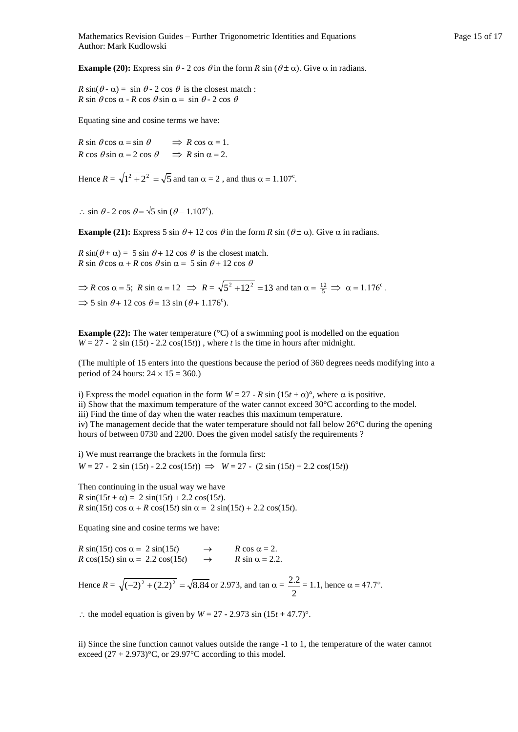**Example (20):** Express sin  $\theta$  - 2 cos  $\theta$  in the form *R* sin ( $\theta \pm \alpha$ ). Give  $\alpha$  in radians.

 $R \sin(\theta - \alpha) = \sin \theta - 2 \cos \theta$  is the closest match:  $R \sin \theta \cos \alpha - R \cos \theta \sin \alpha = \sin \theta - 2 \cos \theta$ 

Equating sine and cosine terms we have:

 $R \sin \theta \cos \alpha = \sin \theta \implies R \cos \alpha = 1.$  $R \cos \theta \sin \alpha = 2 \cos \theta \implies R \sin \alpha = 2.$ 

Hence  $R = \sqrt{1^2 + 2^2} = \sqrt{5}$  and tan  $\alpha = 2$ , and thus  $\alpha = 1.107^{\circ}$ .

 $\therefore$  sin  $\theta$  - 2 cos  $\theta = \sqrt{5} \sin (\theta - 1.107^{\circ})$ .

**Example (21):** Express 5 sin  $\theta$  + 12 cos  $\theta$  in the form *R* sin ( $\theta$  ±  $\alpha$ ). Give  $\alpha$  in radians.

 $R \sin(\theta + \alpha) = 5 \sin \theta + 12 \cos \theta$  is the closest match.  $R \sin \theta \cos \alpha + R \cos \theta \sin \alpha = 5 \sin \theta + 12 \cos \theta$ 

 $\Rightarrow$  *R* cos  $\alpha = 5$ ; *R* sin  $\alpha = 12 \Rightarrow$  *R* =  $\sqrt{5^2 + 12^2} = 13$  and tan  $\alpha = \frac{12}{5} \Rightarrow \alpha = 1.176^{\circ}$ .  $\Rightarrow$  5 sin  $\theta$ + 12 cos  $\theta$ = 13 sin ( $\theta$ + 1.176<sup>c</sup>).

**Example (22):** The water temperature (°C) of a swimming pool is modelled on the equation  $W = 27 - 2 \sin(15t) - 2.2 \cos(15t)$ , where *t* is the time in hours after midnight.

(The multiple of 15 enters into the questions because the period of 360 degrees needs modifying into a period of 24 hours:  $24 \times 15 = 360$ .)

i) Express the model equation in the form  $W = 27$  -  $R \sin(15t + \alpha)$ <sup>o</sup>, where  $\alpha$  is positive. ii) Show that the maximum temperature of the water cannot exceed 30°C according to the model. iii) Find the time of day when the water reaches this maximum temperature. iv) The management decide that the water temperature should not fall below 26°C during the opening hours of between 0730 and 2200. Does the given model satisfy the requirements ?

i) We must rearrange the brackets in the formula first:  $W = 27 - 2 \sin(15t) - 2.2 \cos(15t) \implies W = 27 - (2 \sin(15t) + 2.2 \cos(15t))$ 

Then continuing in the usual way we have  $R \sin(15t + \alpha) = 2 \sin(15t) + 2.2 \cos(15t)$ . *R* sin(15*t*) cos  $\alpha + R \cos(15t) \sin \alpha = 2 \sin(15t) + 2.2 \cos(15t)$ .

Equating sine and cosine terms we have:

 $R \sin(15t) \cos \alpha = 2 \sin(15t) \rightarrow R \cos \alpha = 2.$  $R \cos(15t) \sin \alpha = 2.2 \cos(15t)$   $\rightarrow$   $R \sin \alpha = 2.2$ .

Hence  $R = \sqrt{(-2)^2 + (2.2)^2} = \sqrt{8.84}$  or 2.973, and tan  $\alpha =$ 2  $\frac{2.2}{2.2}$  = 1.1, hence  $\alpha$  = 47.7°.

: the model equation is given by  $W = 27 - 2.973 \sin(15t + 47.7)$ °.

ii) Since the sine function cannot values outside the range -1 to 1, the temperature of the water cannot exceed  $(27 + 2.973)$ °C, or 29.97°C according to this model.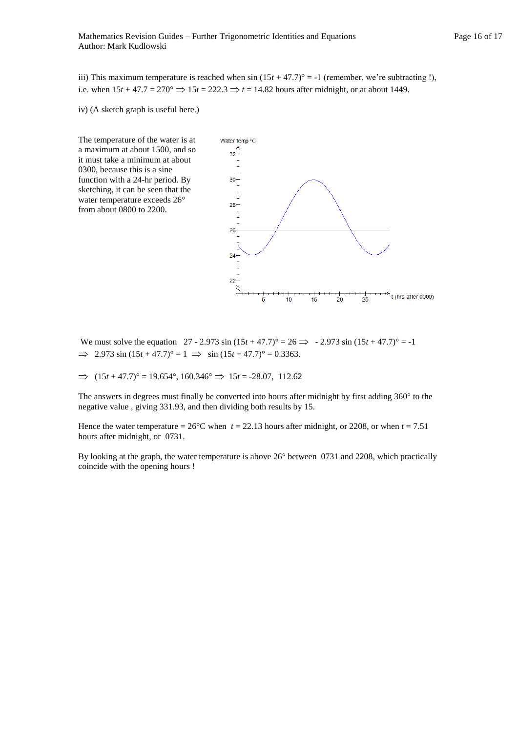iii) This maximum temperature is reached when  $\sin(15t + 47.7)$ ° = -1 (remember, we're subtracting !), i.e. when  $15t + 47.7 = 270^{\circ} \Rightarrow 15t = 222.3 \Rightarrow t = 14.82$  hours after midnight, or at about 1449.

iv) (A sketch graph is useful here.)

The temperature of the water is at a maximum at about 1500, and so it must take a minimum at about 0300, because this is a sine function with a 24-hr period. By sketching, it can be seen that the water temperature exceeds 26° from about 0800 to 2200.



We must solve the equation  $27 - 2.973 \sin (15t + 47.7)^{\circ} = 26 \implies -2.973 \sin (15t + 47.7)^{\circ} = -1$  $\implies$  2.973 sin (15*t* + 47.7)° = 1  $\implies$  sin (15*t* + 47.7)° = 0.3363.

 $\implies$   $(15t + 47.7)^{\circ} = 19.654^{\circ}, 160.346^{\circ} \implies 15t = -28.07, 112.62$ 

The answers in degrees must finally be converted into hours after midnight by first adding 360° to the negative value , giving 331.93, and then dividing both results by 15.

Hence the water temperature =  $26^{\circ}$ C when  $t = 22.13$  hours after midnight, or 2208, or when  $t = 7.51$ hours after midnight, or 0731.

By looking at the graph, the water temperature is above 26° between 0731 and 2208, which practically coincide with the opening hours !